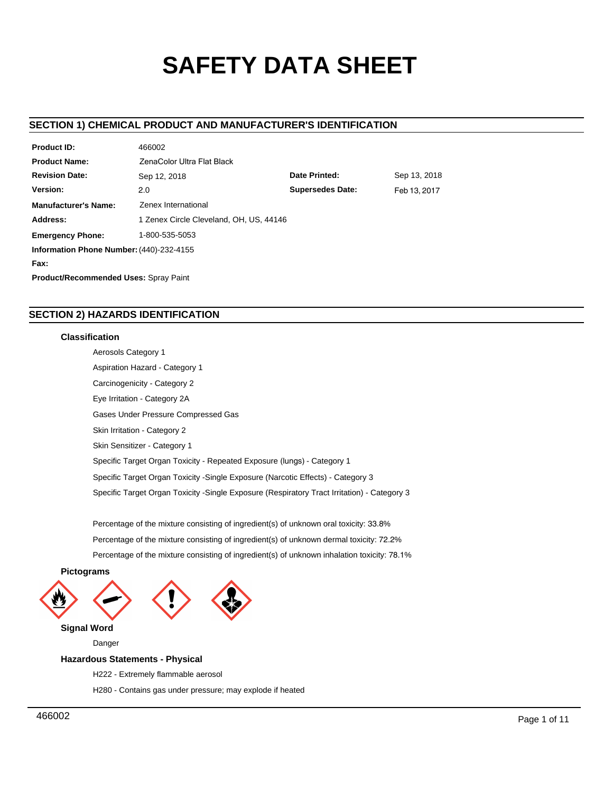# **SAFETY DATA SHEET**

# **SECTION 1) CHEMICAL PRODUCT AND MANUFACTURER'S IDENTIFICATION**

| <b>Product ID:</b>                           | 466002                                  |                         |              |  |  |  |
|----------------------------------------------|-----------------------------------------|-------------------------|--------------|--|--|--|
| <b>Product Name:</b>                         | ZenaColor Ultra Flat Black              |                         |              |  |  |  |
| <b>Revision Date:</b>                        | Sep 12, 2018                            | Date Printed:           | Sep 13, 2018 |  |  |  |
| Version:                                     | 2.0                                     | <b>Supersedes Date:</b> | Feb 13, 2017 |  |  |  |
| <b>Manufacturer's Name:</b>                  | Zenex International                     |                         |              |  |  |  |
| Address:                                     | 1 Zenex Circle Cleveland, OH, US, 44146 |                         |              |  |  |  |
| <b>Emergency Phone:</b>                      | 1-800-535-5053                          |                         |              |  |  |  |
| Information Phone Number: (440)-232-4155     |                                         |                         |              |  |  |  |
| Fax:                                         |                                         |                         |              |  |  |  |
| <b>Product/Recommended Uses: Spray Paint</b> |                                         |                         |              |  |  |  |

# **SECTION 2) HAZARDS IDENTIFICATION**

 $10000000$ 

# **Classification**

Aerosols Category 1 Aspiration Hazard - Category 1 Carcinogenicity - Category 2 Eye Irritation - Category 2A Gases Under Pressure Compressed Gas Skin Irritation - Category 2 Skin Sensitizer - Category 1 Specific Target Organ Toxicity - Repeated Exposure (lungs) - Category 1 Specific Target Organ Toxicity -Single Exposure (Narcotic Effects) - Category 3 Specific Target Organ Toxicity -Single Exposure (Respiratory Tract Irritation) - Category 3

Percentage of the mixture consisting of ingredient(s) of unknown oral toxicity: 33.8% Percentage of the mixture consisting of ingredient(s) of unknown dermal toxicity: 72.2% Percentage of the mixture consisting of ingredient(s) of unknown inhalation toxicity: 78.1%



Danger

# **Hazardous Statements - Physical**

- H222 Extremely flammable aerosol
- H280 Contains gas under pressure; may explode if heated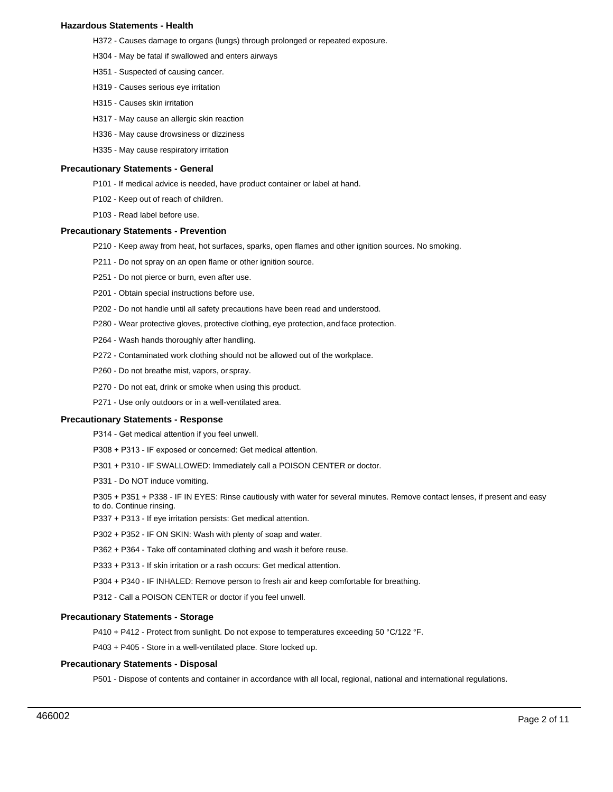## **Hazardous Statements - Health**

- H372 Causes damage to organs (lungs) through prolonged or repeated exposure.
- H304 May be fatal if swallowed and enters airways
- H351 Suspected of causing cancer.
- H319 Causes serious eye irritation
- H315 Causes skin irritation
- H317 May cause an allergic skin reaction
- H336 May cause drowsiness or dizziness
- H335 May cause respiratory irritation

#### **Precautionary Statements - General**

- P101 If medical advice is needed, have product container or label at hand.
- P102 Keep out of reach of children.
- P103 Read label before use.

## **Precautionary Statements - Prevention**

- P210 Keep away from heat, hot surfaces, sparks, open flames and other ignition sources. No smoking.
- P211 Do not spray on an open flame or other ignition source.
- P251 Do not pierce or burn, even after use.
- P201 Obtain special instructions before use.
- P202 Do not handle until all safety precautions have been read and understood.
- P280 Wear protective gloves, protective clothing, eye protection, and face protection.
- P264 Wash hands thoroughly after handling.
- P272 Contaminated work clothing should not be allowed out of the workplace.
- P260 Do not breathe mist, vapors, or spray.
- P270 Do not eat, drink or smoke when using this product.
- P271 Use only outdoors or in a well-ventilated area.

#### **Precautionary Statements - Response**

P314 - Get medical attention if you feel unwell.

- P308 + P313 IF exposed or concerned: Get medical attention.
- P301 + P310 IF SWALLOWED: Immediately call a POISON CENTER or doctor.
- P331 Do NOT induce vomiting.

P305 + P351 + P338 - IF IN EYES: Rinse cautiously with water for several minutes. Remove contact lenses, if present and easy to do. Continue rinsing.

- P337 + P313 If eye irritation persists: Get medical attention.
- P302 + P352 IF ON SKIN: Wash with plenty of soap and water.
- P362 + P364 Take off contaminated clothing and wash it before reuse.
- P333 + P313 If skin irritation or a rash occurs: Get medical attention.
- P304 + P340 IF INHALED: Remove person to fresh air and keep comfortable for breathing.
- P312 Call a POISON CENTER or doctor if you feel unwell.

## **Precautionary Statements - Storage**

P410 + P412 - Protect from sunlight. Do not expose to temperatures exceeding 50 °C/122 °F.

P403 + P405 - Store in a well-ventilated place. Store locked up.

# **Precautionary Statements - Disposal**

P501 - Dispose of contents and container in accordance with all local, regional, national and international regulations.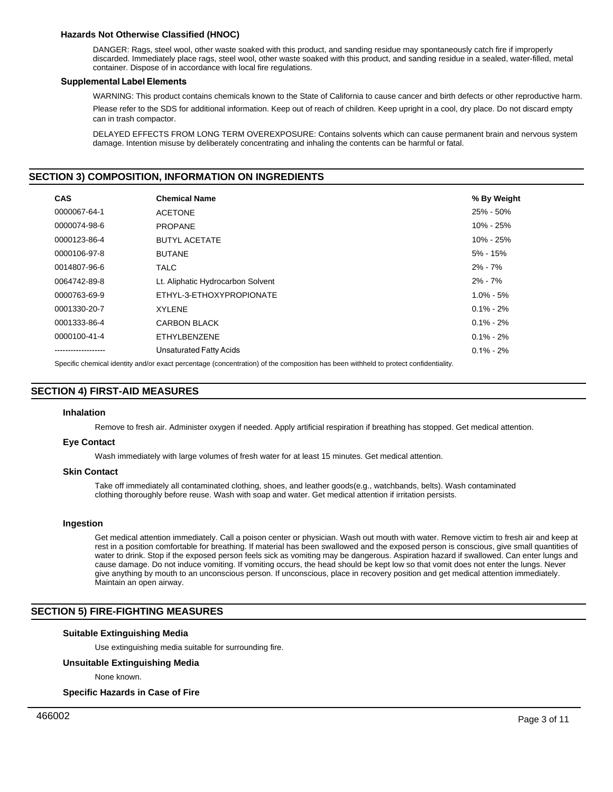# **Hazards Not Otherwise Classified (HNOC)**

DANGER: Rags, steel wool, other waste soaked with this product, and sanding residue may spontaneously catch fire if improperly discarded. Immediately place rags, steel wool, other waste soaked with this product, and sanding residue in a sealed, water-filled, metal container. Dispose of in accordance with local fire regulations.

## **Supplemental Label Elements**

WARNING: This product contains chemicals known to the State of California to cause cancer and birth defects or other reproductive harm.

Please refer to the SDS for additional information. Keep out of reach of children. Keep upright in a cool, dry place. Do not discard empty can in trash compactor.

DELAYED EFFECTS FROM LONG TERM OVEREXPOSURE: Contains solvents which can cause permanent brain and nervous system damage. Intention misuse by deliberately concentrating and inhaling the contents can be harmful or fatal.

# **SECTION 3) COMPOSITION, INFORMATION ON INGREDIENTS**

| <b>CAS</b>   | <b>Chemical Name</b>              | % By Weight   |
|--------------|-----------------------------------|---------------|
| 0000067-64-1 | <b>ACETONE</b>                    | 25% - 50%     |
| 0000074-98-6 | <b>PROPANE</b>                    | 10% - 25%     |
| 0000123-86-4 | <b>BUTYL ACETATE</b>              | 10% - 25%     |
| 0000106-97-8 | <b>BUTANE</b>                     | 5% - 15%      |
| 0014807-96-6 | <b>TALC</b>                       | $2\% - 7\%$   |
| 0064742-89-8 | Lt. Aliphatic Hydrocarbon Solvent | $2\% - 7\%$   |
| 0000763-69-9 | ETHYL-3-ETHOXYPROPIONATE          | $1.0\% - 5\%$ |
| 0001330-20-7 | <b>XYLENE</b>                     | $0.1\% - 2\%$ |
| 0001333-86-4 | <b>CARBON BLACK</b>               | $0.1\% - 2\%$ |
| 0000100-41-4 | ETHYLBENZENE                      | $0.1\% - 2\%$ |
|              | Unsaturated Fatty Acids           | $0.1\% - 2\%$ |

Specific chemical identity and/or exact percentage (concentration) of the composition has been withheld to protect confidentiality.

# **SECTION 4) FIRST-AID MEASURES**

## **Inhalation**

Remove to fresh air. Administer oxygen if needed. Apply artificial respiration if breathing has stopped. Get medical attention.

## **Eye Contact**

Wash immediately with large volumes of fresh water for at least 15 minutes. Get medical attention.

## **Skin Contact**

Take off immediately all contaminated clothing, shoes, and leather goods(e.g., watchbands, belts). Wash contaminated clothing thoroughly before reuse. Wash with soap and water. Get medical attention if irritation persists.

## **Ingestion**

Get medical attention immediately. Call a poison center or physician. Wash out mouth with water. Remove victim to fresh air and keep at rest in a position comfortable for breathing. If material has been swallowed and the exposed person is conscious, give small quantities of water to drink. Stop if the exposed person feels sick as vomiting may be dangerous. Aspiration hazard if swallowed. Can enter lungs and cause damage. Do not induce vomiting. If vomiting occurs, the head should be kept low so that vomit does not enter the lungs. Never give anything by mouth to an unconscious person. If unconscious, place in recovery position and get medical attention immediately. Maintain an open airway.

# **SECTION 5) FIRE-FIGHTING MEASURES**

# **Suitable Extinguishing Media**

Use extinguishing media suitable for surrounding fire.

## **Unsuitable Extinguishing Media**

None known.

## **Specific Hazards in Case of Fire**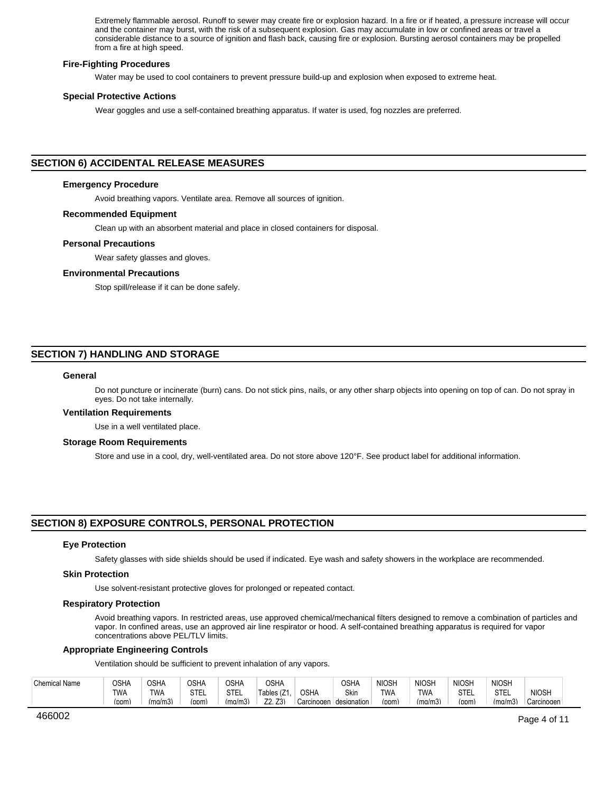Extremely flammable aerosol. Runoff to sewer may create fire or explosion hazard. In a fire or if heated, a pressure increase will occur and the container may burst, with the risk of a subsequent explosion. Gas may accumulate in low or confined areas or travel a considerable distance to a source of ignition and flash back, causing fire or explosion. Bursting aerosol containers may be propelled from a fire at high speed.

#### **Fire-Fighting Procedures**

Water may be used to cool containers to prevent pressure build-up and explosion when exposed to extreme heat.

#### **Special Protective Actions**

Wear goggles and use a self-contained breathing apparatus. If water is used, fog nozzles are preferred.

## **SECTION 6) ACCIDENTAL RELEASE MEASURES**

## **Emergency Procedure**

Avoid breathing vapors. Ventilate area. Remove all sources of ignition.

#### **Recommended Equipment**

Clean up with an absorbent material and place in closed containers for disposal.

#### **Personal Precautions**

Wear safety glasses and gloves.

### **Environmental Precautions**

Stop spill/release if it can be done safely.

# **SECTION 7) HANDLING AND STORAGE**

## **General**

Do not puncture or incinerate (burn) cans. Do not stick pins, nails, or any other sharp objects into opening on top of can. Do not spray in eyes. Do not take internally.

## **Ventilation Requirements**

Use in a well ventilated place.

## **Storage Room Requirements**

Store and use in a cool, dry, well-ventilated area. Do not store above 120°F. See product label for additional information.

# **SECTION 8) EXPOSURE CONTROLS, PERSONAL PROTECTION**

#### **Eye Protection**

Safety glasses with side shields should be used if indicated. Eye wash and safety showers in the workplace are recommended.

#### **Skin Protection**

Use solvent-resistant protective gloves for prolonged or repeated contact.

## **Respiratory Protection**

Avoid breathing vapors. In restricted areas, use approved chemical/mechanical filters designed to remove a combination of particles and vapor. In confined areas, use an approved air line respirator or hood. A self-contained breathing apparatus is required for vapor concentrations above PEL/TLV limits.

#### **Appropriate Engineering Controls**

Ventilation should be sufficient to prevent inhalation of any vapors.

| <b>Chemical Name</b> | OSHA       | OSH/    | つSHA        | OSHA              | <b>OSHA</b>           |             | <b>OSHA</b> | <b>NIOSH</b> | <b>NIOSH</b> | <b>NIOSH</b>         | <b>NIOSH</b> |              |
|----------------------|------------|---------|-------------|-------------------|-----------------------|-------------|-------------|--------------|--------------|----------------------|--------------|--------------|
|                      | <b>TWA</b> | TWA     | <b>STEL</b> | <b>CTE</b><br>ٵٵ٥ | $\mathsf{Tables}$ (2. | <b>OSHA</b> | Skin        | <b>TWA</b>   | <b>TWA</b>   | <b>OTE</b><br>∟∟ ا ت | ᅂᅚ<br>ٵٵ؈    | <b>NIOSH</b> |
|                      | (ppm)      | (ma/m3) | 'opm.       | $\sim$<br>(mq/m3) | 70<br>Z3              | Carcinogen  | designation | (ppm)        | (ma/m3)      | (ppm)                | (ma/m3)      | Carcinogen   |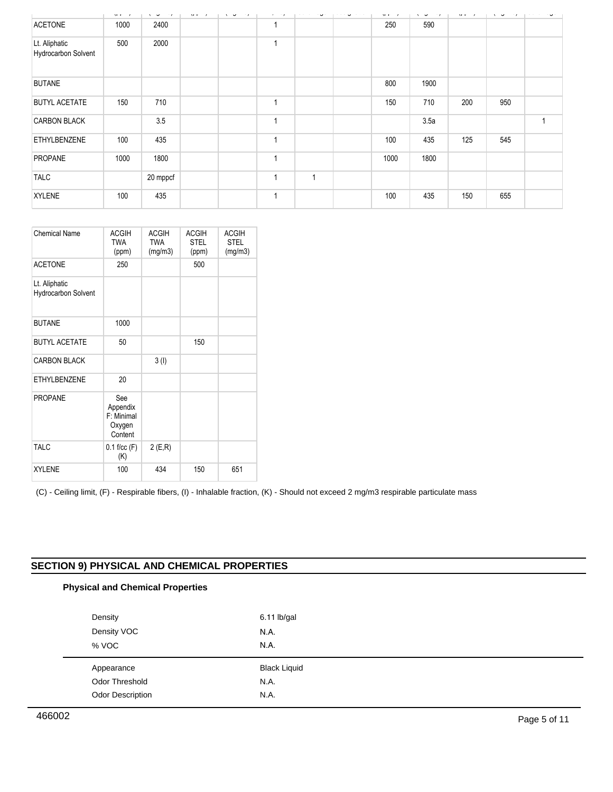|                                             | $\lambda \Gamma \Gamma \cdots$ | $v \cdot w \cdot w \cdot w$ | $\mathbf{v}$ in the state $\mathbf{v}$ | $\cdots$ $\sigma$ $\cdots$ $\cdots$ | —— <b>,</b> | _ _ _ _      | المتحصص ويتحجج | $\mathbf{v}$ in $\mathbf{v}$ | $\mathbf{v} \cdot \mathbf{v}$ | $\mathbf{v}$ in $\mathbf{v}$ | $v_1 \cdots v_n \cdots v_n$ | د د سرور ساده ده سه س |
|---------------------------------------------|--------------------------------|-----------------------------|----------------------------------------|-------------------------------------|-------------|--------------|----------------|------------------------------|-------------------------------|------------------------------|-----------------------------|-----------------------|
| <b>ACETONE</b>                              | 1000                           | 2400                        |                                        |                                     |             |              |                | 250                          | 590                           |                              |                             |                       |
| Lt. Aliphatic<br><b>Hydrocarbon Solvent</b> | 500                            | 2000                        |                                        |                                     |             |              |                |                              |                               |                              |                             |                       |
| <b>BUTANE</b>                               |                                |                             |                                        |                                     |             |              |                | 800                          | 1900                          |                              |                             |                       |
| <b>BUTYL ACETATE</b>                        | 150                            | 710                         |                                        |                                     |             |              |                | 150                          | 710                           | 200                          | 950                         |                       |
| <b>CARBON BLACK</b>                         |                                | 3.5                         |                                        |                                     |             |              |                |                              | 3.5a                          |                              |                             |                       |
| <b>ETHYLBENZENE</b>                         | 100                            | 435                         |                                        |                                     |             |              |                | 100                          | 435                           | 125                          | 545                         |                       |
| <b>PROPANE</b>                              | 1000                           | 1800                        |                                        |                                     |             |              |                | 1000                         | 1800                          |                              |                             |                       |
| <b>TALC</b>                                 |                                | 20 mppcf                    |                                        |                                     |             | $\mathbf{1}$ |                |                              |                               |                              |                             |                       |
| <b>XYLENE</b>                               | 100                            | 435                         |                                        |                                     |             |              |                | 100                          | 435                           | 150                          | 655                         |                       |

| Chemical Name                        | <b>ACGIH</b><br><b>TWA</b><br>(ppm)                | <b>ACGIH</b><br><b>TWA</b><br>(mg/m3) | <b>ACGIH</b><br><b>STEL</b><br>(ppm) | <b>ACGIH</b><br><b>STEL</b><br>(mg/m3) |
|--------------------------------------|----------------------------------------------------|---------------------------------------|--------------------------------------|----------------------------------------|
| <b>ACETONE</b>                       | 250                                                |                                       | 500                                  |                                        |
| Lt. Aliphatic<br>Hydrocarbon Solvent |                                                    |                                       |                                      |                                        |
| <b>BUTANE</b>                        | 1000                                               |                                       |                                      |                                        |
| <b>BUTYL ACETATE</b>                 | 50                                                 |                                       | 150                                  |                                        |
| <b>CARBON BLACK</b>                  |                                                    | 3(1)                                  |                                      |                                        |
| <b>ETHYLBENZENE</b>                  | 20                                                 |                                       |                                      |                                        |
| <b>PROPANE</b>                       | See<br>Appendix<br>F: Minimal<br>Oxygen<br>Content |                                       |                                      |                                        |
| <b>TALC</b>                          | $0.1$ f/cc $(F)$<br>(K)                            | 2(E,R)                                |                                      |                                        |
| <b>XYLENE</b>                        | 100                                                | 434                                   | 150                                  | 651                                    |

(C) - Ceiling limit, (F) - Respirable fibers, (I) - Inhalable fraction, (K) - Should not exceed 2 mg/m3 respirable particulate mass

# **SECTION 9) PHYSICAL AND CHEMICAL PROPERTIES**

# **Physical and Chemical Properties**

| Density                             | 6.11 lb/gal                 |
|-------------------------------------|-----------------------------|
| Density VOC                         | N.A.                        |
| % VOC                               | N.A.                        |
|                                     |                             |
|                                     |                             |
| Appearance<br><b>Odor Threshold</b> | <b>Black Liquid</b><br>N.A. |
| Odor Description                    | N.A.                        |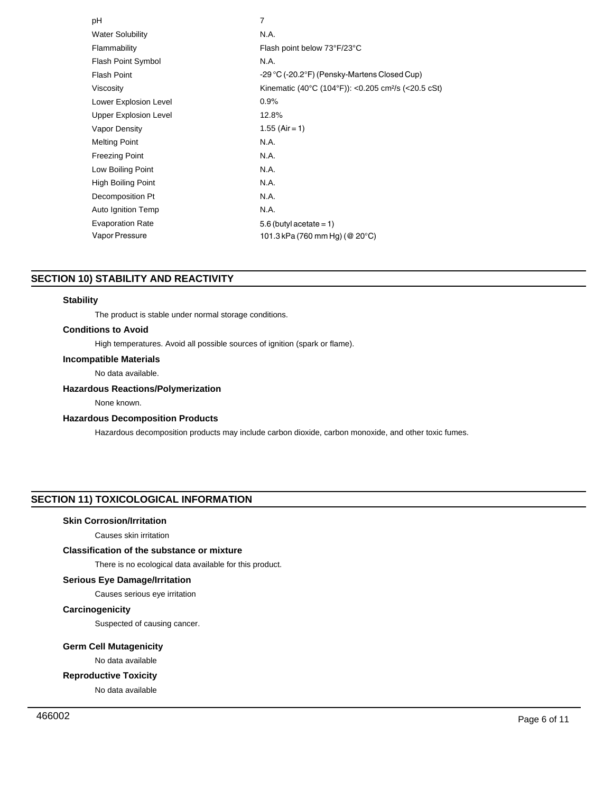| рH                           | 7                                                               |
|------------------------------|-----------------------------------------------------------------|
| <b>Water Solubility</b>      | N.A.                                                            |
| Flammability                 | Flash point below 73°F/23°C                                     |
| <b>Flash Point Symbol</b>    | N.A.                                                            |
| <b>Flash Point</b>           | -29 °C (-20.2°F) (Pensky-Martens Closed Cup)                    |
| Viscosity                    | Kinematic (40°C (104°F)): <0.205 cm <sup>2</sup> /s (<20.5 cSt) |
| Lower Explosion Level        | 0.9%                                                            |
| <b>Upper Explosion Level</b> | 12.8%                                                           |
| Vapor Density                | $1.55$ (Air = 1)                                                |
| <b>Melting Point</b>         | N.A.                                                            |
| <b>Freezing Point</b>        | N.A.                                                            |
| Low Boiling Point            | N.A.                                                            |
| High Boiling Point           | N.A.                                                            |
| Decomposition Pt             | N.A.                                                            |
| Auto Ignition Temp           | N.A.                                                            |
| <b>Evaporation Rate</b>      | $5.6$ (butyl acetate = 1)                                       |
| Vapor Pressure               | 101.3 kPa (760 mm Hg) (@ 20°C)                                  |
|                              |                                                                 |

# **SECTION 10) STABILITY AND REACTIVITY**

## **Stability**

The product is stable under normal storage conditions.

# **Conditions to Avoid**

High temperatures. Avoid all possible sources of ignition (spark or flame).

# **Incompatible Materials**

No data available.

# **Hazardous Reactions/Polymerization**

None known.

# **Hazardous Decomposition Products**

Hazardous decomposition products may include carbon dioxide, carbon monoxide, and other toxic fumes.

# **SECTION 11) TOXICOLOGICAL INFORMATION**

# **Skin Corrosion/Irritation**

Causes skin irritation

# **Classification of the substance or mixture**

There is no ecological data available for this product.

# **Serious Eye Damage/Irritation**

Causes serious eye irritation

# **Carcinogenicity**

Suspected of causing cancer.

## **Germ Cell Mutagenicity**

No data available

# **Reproductive Toxicity**

No data available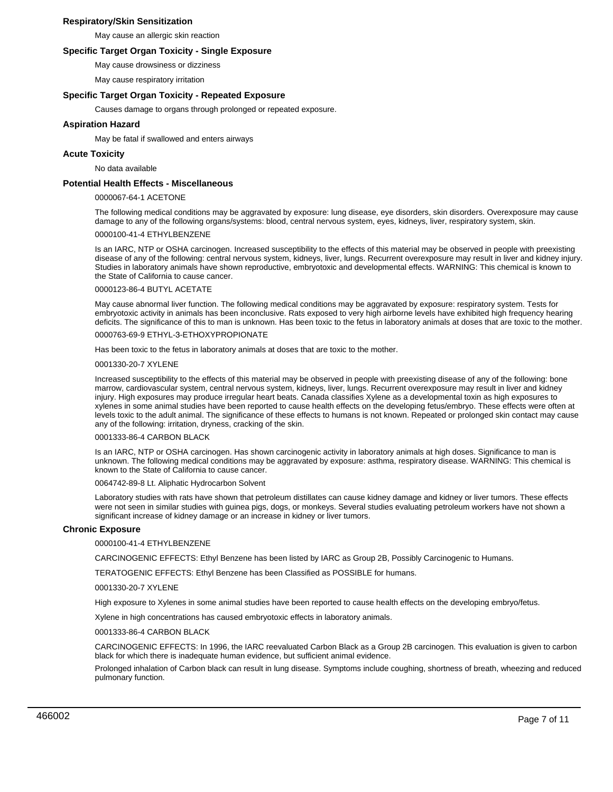## **Respiratory/Skin Sensitization**

May cause an allergic skin reaction

## **Specific Target Organ Toxicity - Single Exposure**

May cause drowsiness or dizziness

May cause respiratory irritation

## **Specific Target Organ Toxicity - Repeated Exposure**

Causes damage to organs through prolonged or repeated exposure.

## **Aspiration Hazard**

May be fatal if swallowed and enters airways

## **Acute Toxicity**

No data available

## **Potential Health Effects - Miscellaneous**

#### 0000067-64-1 ACETONE

The following medical conditions may be aggravated by exposure: lung disease, eye disorders, skin disorders. Overexposure may cause damage to any of the following organs/systems: blood, central nervous system, eyes, kidneys, liver, respiratory system, skin.

## 0000100-41-4 ETHYLBENZENE

Is an IARC, NTP or OSHA carcinogen. Increased susceptibility to the effects of this material may be observed in people with preexisting disease of any of the following: central nervous system, kidneys, liver, lungs. Recurrent overexposure may result in liver and kidney injury. Studies in laboratory animals have shown reproductive, embryotoxic and developmental effects. WARNING: This chemical is known to the State of California to cause cancer.

#### 0000123-86-4 BUTYL ACETATE

May cause abnormal liver function. The following medical conditions may be aggravated by exposure: respiratory system. Tests for embryotoxic activity in animals has been inconclusive. Rats exposed to very high airborne levels have exhibited high frequency hearing deficits. The significance of this to man is unknown. Has been toxic to the fetus in laboratory animals at doses that are toxic to the mother.

# 0000763-69-9 ETHYL-3-ETHOXYPROPIONATE

Has been toxic to the fetus in laboratory animals at doses that are toxic to the mother.

#### 0001330-20-7 XYLENE

Increased susceptibility to the effects of this material may be observed in people with preexisting disease of any of the following: bone marrow, cardiovascular system, central nervous system, kidneys, liver, lungs. Recurrent overexposure may result in liver and kidney injury. High exposures may produce irregular heart beats. Canada classifies Xylene as a developmental toxin as high exposures to xylenes in some animal studies have been reported to cause health effects on the developing fetus/embryo. These effects were often at levels toxic to the adult animal. The significance of these effects to humans is not known. Repeated or prolonged skin contact may cause any of the following: irritation, dryness, cracking of the skin.

#### 0001333-86-4 CARBON BLACK

Is an IARC, NTP or OSHA carcinogen. Has shown carcinogenic activity in laboratory animals at high doses. Significance to man is unknown. The following medical conditions may be aggravated by exposure: asthma, respiratory disease. WARNING: This chemical is known to the State of California to cause cancer.

#### 0064742-89-8 Lt. Aliphatic Hydrocarbon Solvent

Laboratory studies with rats have shown that petroleum distillates can cause kidney damage and kidney or liver tumors. These effects were not seen in similar studies with guinea pigs, dogs, or monkeys. Several studies evaluating petroleum workers have not shown a significant increase of kidney damage or an increase in kidney or liver tumors.

## **Chronic Exposure**

## 0000100-41-4 ETHYLBENZENE

CARCINOGENIC EFFECTS: Ethyl Benzene has been listed by IARC as Group 2B, Possibly Carcinogenic to Humans.

TERATOGENIC EFFECTS: Ethyl Benzene has been Classified as POSSIBLE for humans.

#### 0001330-20-7 XYLENE

High exposure to Xylenes in some animal studies have been reported to cause health effects on the developing embryo/fetus.

Xylene in high concentrations has caused embryotoxic effects in laboratory animals.

# 0001333-86-4 CARBON BLACK

CARCINOGENIC EFFECTS: In 1996, the IARC reevaluated Carbon Black as a Group 2B carcinogen. This evaluation is given to carbon black for which there is inadequate human evidence, but sufficient animal evidence.

Prolonged inhalation of Carbon black can result in lung disease. Symptoms include coughing, shortness of breath, wheezing and reduced pulmonary function.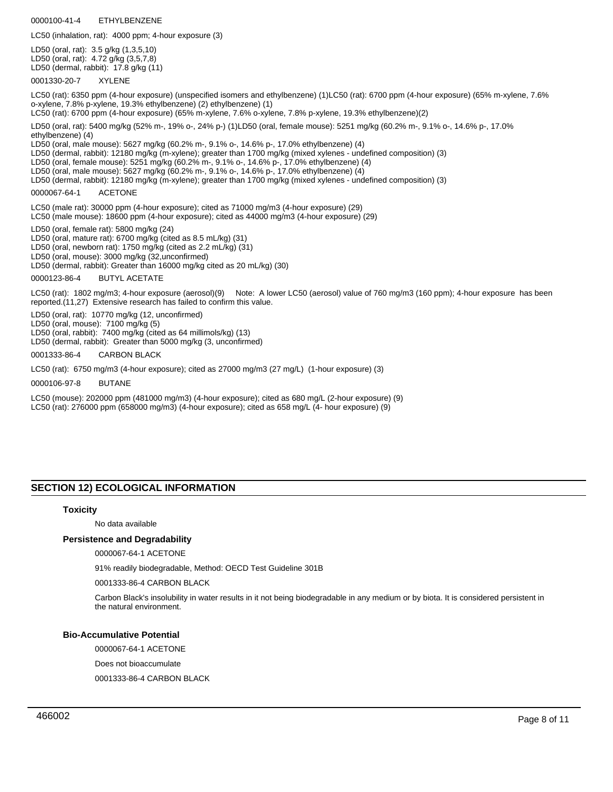0000100-41-4 ETHYLBENZENE

LC50 (inhalation, rat): 4000 ppm; 4-hour exposure (3)

LD50 (oral, rat): 3.5 g/kg (1,3,5,10) LD50 (oral, rat): 4.72 g/kg (3,5,7,8) LD50 (dermal, rabbit): 17.8 g/kg (11)

0001330-20-7 XYLENE

LC50 (rat): 6350 ppm (4-hour exposure) (unspecified isomers and ethylbenzene) (1)LC50 (rat): 6700 ppm (4-hour exposure) (65% m-xylene, 7.6% o-xylene, 7.8% p-xylene, 19.3% ethylbenzene) (2) ethylbenzene) (1)

LC50 (rat): 6700 ppm (4-hour exposure) (65% m-xylene, 7.6% o-xylene, 7.8% p-xylene, 19.3% ethylbenzene)(2)

LD50 (oral, rat): 5400 mg/kg (52% m-, 19% o-, 24% p-) (1)LD50 (oral, female mouse): 5251 mg/kg (60.2% m-, 9.1% o-, 14.6% p-, 17.0% ethylbenzene) (4)

LD50 (oral, male mouse): 5627 mg/kg (60.2% m-, 9.1% o-, 14.6% p-, 17.0% ethylbenzene) (4)

LD50 (dermal, rabbit): 12180 mg/kg (m-xylene); greater than 1700 mg/kg (mixed xylenes - undefined composition) (3)

LD50 (oral, female mouse): 5251 mg/kg (60.2% m-, 9.1% o-, 14.6% p-, 17.0% ethylbenzene) (4)

LD50 (oral, male mouse): 5627 mg/kg (60.2% m-, 9.1% o-, 14.6% p-, 17.0% ethylbenzene) (4)

LD50 (dermal, rabbit): 12180 mg/kg (m-xylene); greater than 1700 mg/kg (mixed xylenes - undefined composition) (3)

#### 0000067-64-1 ACETONE

LC50 (male rat): 30000 ppm (4-hour exposure); cited as 71000 mg/m3 (4-hour exposure) (29) LC50 (male mouse): 18600 ppm (4-hour exposure); cited as 44000 mg/m3 (4-hour exposure) (29)

LD50 (oral, female rat): 5800 mg/kg (24)

LD50 (oral, mature rat): 6700 mg/kg (cited as 8.5 mL/kg) (31)

LD50 (oral, newborn rat): 1750 mg/kg (cited as 2.2 mL/kg) (31)

LD50 (oral, mouse): 3000 mg/kg (32,unconfirmed)

LD50 (dermal, rabbit): Greater than 16000 mg/kg cited as 20 mL/kg) (30)

0000123-86-4 BUTYL ACETATE

LC50 (rat): 1802 mg/m3; 4-hour exposure (aerosol)(9) Note: A lower LC50 (aerosol) value of 760 mg/m3 (160 ppm); 4-hour exposure has been reported.(11,27) Extensive research has failed to confirm this value.

LD50 (oral, rat): 10770 mg/kg (12, unconfirmed)

LD50 (oral, mouse): 7100 mg/kg (5)

LD50 (oral, rabbit): 7400 mg/kg (cited as 64 millimols/kg) (13)

LD50 (dermal, rabbit): Greater than 5000 mg/kg (3, unconfirmed)

#### 0001333-86-4 CARBON BLACK

LC50 (rat): 6750 mg/m3 (4-hour exposure); cited as 27000 mg/m3 (27 mg/L) (1-hour exposure) (3)

0000106-97-8 BUTANE

LC50 (mouse): 202000 ppm (481000 mg/m3) (4-hour exposure); cited as 680 mg/L (2-hour exposure) (9) LC50 (rat): 276000 ppm (658000 mg/m3) (4-hour exposure); cited as 658 mg/L (4- hour exposure) (9)

# **SECTION 12) ECOLOGICAL INFORMATION**

## **Toxicity**

No data available

## **Persistence and Degradability**

0000067-64-1 ACETONE

91% readily biodegradable, Method: OECD Test Guideline 301B

0001333-86-4 CARBON BLACK

Carbon Black's insolubility in water results in it not being biodegradable in any medium or by biota. It is considered persistent in the natural environment.

## **Bio-Accumulative Potential**

0000067-64-1 ACETONE

Does not bioaccumulate

0001333-86-4 CARBON BLACK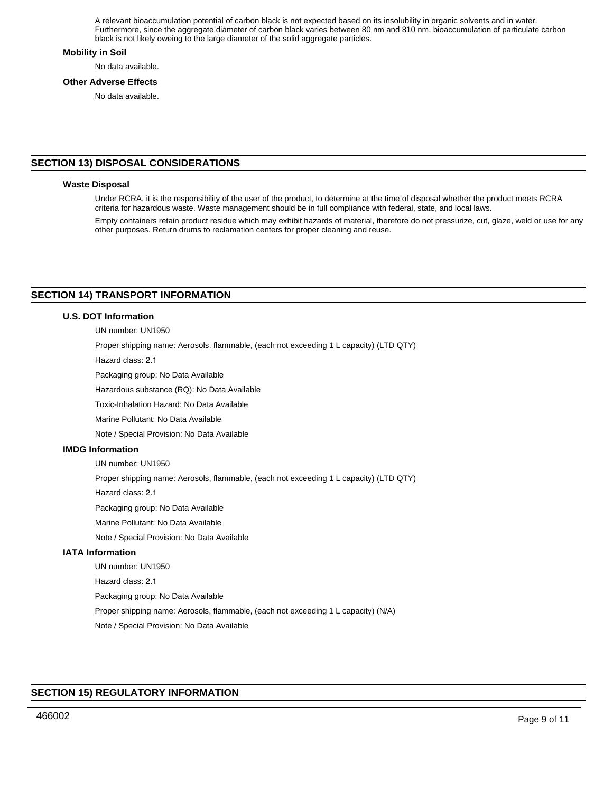A relevant bioaccumulation potential of carbon black is not expected based on its insolubility in organic solvents and in water. Furthermore, since the aggregate diameter of carbon black varies between 80 nm and 810 nm, bioaccumulation of particulate carbon black is not likely oweing to the large diameter of the solid aggregate particles.

## **Mobility in Soil**

No data available.

## **Other Adverse Effects**

No data available.

# **SECTION 13) DISPOSAL CONSIDERATIONS**

## **Waste Disposal**

Under RCRA, it is the responsibility of the user of the product, to determine at the time of disposal whether the product meets RCRA criteria for hazardous waste. Waste management should be in full compliance with federal, state, and local laws.

Empty containers retain product residue which may exhibit hazards of material, therefore do not pressurize, cut, glaze, weld or use for any other purposes. Return drums to reclamation centers for proper cleaning and reuse.

# **SECTION 14) TRANSPORT INFORMATION**

## **U.S. DOT Information**

UN number: UN1950

Proper shipping name: Aerosols, flammable, (each not exceeding 1 L capacity) (LTD QTY)

Hazard class: 2.1

Packaging group: No Data Available

Hazardous substance (RQ): No Data Available

Toxic-Inhalation Hazard: No Data Available

Marine Pollutant: No Data Available

Note / Special Provision: No Data Available

## **IMDG Information**

UN number: UN1950

Proper shipping name: Aerosols, flammable, (each not exceeding 1 L capacity) (LTD QTY)

Hazard class: 2.1

Packaging group: No Data Available

Marine Pollutant: No Data Available

Note / Special Provision: No Data Available

# **IATA Information**

UN number: UN1950 Hazard class: 2.1 Packaging group: No Data Available Proper shipping name: Aerosols, flammable, (each not exceeding 1 L capacity) (N/A) Note / Special Provision: No Data Available

# **SECTION 15) REGULATORY INFORMATION**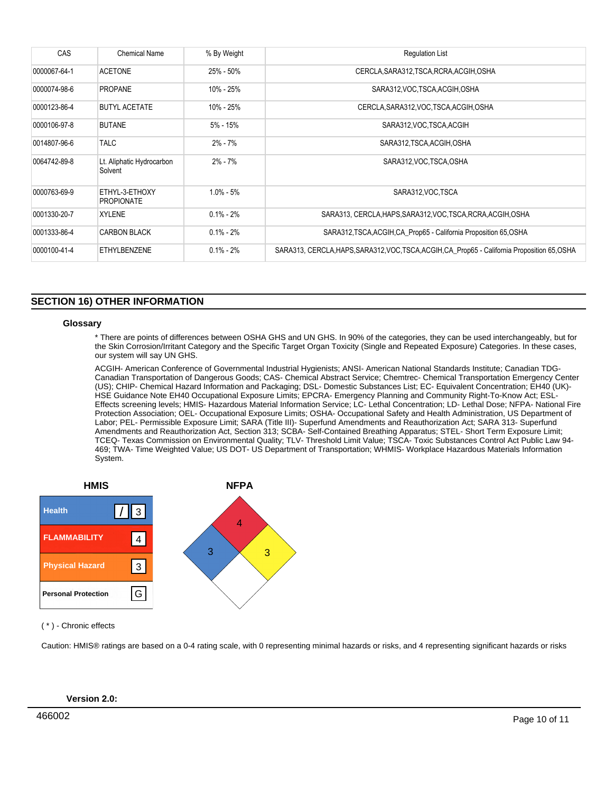| CAS          | <b>Chemical Name</b>                 | % By Weight   | <b>Regulation List</b>                                                                        |
|--------------|--------------------------------------|---------------|-----------------------------------------------------------------------------------------------|
| 0000067-64-1 | <b>ACETONE</b>                       | 25% - 50%     | CERCLA, SARA312, TSCA, RCRA, ACGIH, OSHA                                                      |
| 0000074-98-6 | <b>PROPANE</b>                       | 10% - 25%     | SARA312, VOC, TSCA, ACGIH, OSHA                                                               |
| 0000123-86-4 | <b>BUTYL ACETATE</b>                 | 10% - 25%     | CERCLA, SARA312, VOC, TSCA, ACGIH, OSHA                                                       |
| 0000106-97-8 | <b>BUTANE</b>                        | $5\%$ - 15%   | SARA312, VOC, TSCA, ACGIH                                                                     |
| 0014807-96-6 | <b>TALC</b>                          | $2\% - 7\%$   | SARA312, TSCA, ACGIH, OSHA                                                                    |
| 0064742-89-8 | Lt. Aliphatic Hydrocarbon<br>Solvent | $2\% - 7\%$   | SARA312, VOC, TSCA, OSHA                                                                      |
| 0000763-69-9 | ETHYL-3-ETHOXY<br><b>PROPIONATE</b>  | $1.0\% - 5\%$ | SARA312, VOC TSCA                                                                             |
| 0001330-20-7 | <b>XYLENE</b>                        | $0.1\% - 2\%$ | SARA313, CERCLA, HAPS, SARA312, VOC, TSCA, RCRA, ACGIH, OSHA                                  |
| 0001333-86-4 | <b>CARBON BLACK</b>                  | $0.1\% - 2\%$ | SARA312, TSCA, ACGIH, CA_Prop65 - California Proposition 65, OSHA                             |
| 0000100-41-4 | ETHYLBENZENE                         | $0.1\% - 2\%$ | SARA313, CERCLA, HAPS, SARA312, VOC, TSCA, ACGIH, CA_Prop65 - California Proposition 65, OSHA |

# **SECTION 16) OTHER INFORMATION**

## **Glossary**

\* There are points of differences between OSHA GHS and UN GHS. In 90% of the categories, they can be used interchangeably, but for the Skin Corrosion/Irritant Category and the Specific Target Organ Toxicity (Single and Repeated Exposure) Categories. In these cases, our system will say UN GHS.

ACGIH- American Conference of Governmental Industrial Hygienists; ANSI- American National Standards Institute; Canadian TDG-Canadian Transportation of Dangerous Goods; CAS- Chemical Abstract Service; Chemtrec- Chemical Transportation Emergency Center (US); CHIP- Chemical Hazard Information and Packaging; DSL- Domestic Substances List; EC- Equivalent Concentration; EH40 (UK)- HSE Guidance Note EH40 Occupational Exposure Limits; EPCRA- Emergency Planning and Community Right-To-Know Act; ESL-Effects screening levels; HMIS- Hazardous Material Information Service; LC- Lethal Concentration; LD- Lethal Dose; NFPA- National Fire Protection Association; OEL- Occupational Exposure Limits; OSHA- Occupational Safety and Health Administration, US Department of Labor; PEL- Permissible Exposure Limit; SARA (Title III)- Superfund Amendments and Reauthorization Act; SARA 313- Superfund Amendments and Reauthorization Act, Section 313; SCBA- Self-Contained Breathing Apparatus; STEL- Short Term Exposure Limit; TCEQ- Texas Commission on Environmental Quality; TLV- Threshold Limit Value; TSCA- Toxic Substances Control Act Public Law 94- 469; TWA- Time Weighted Value; US DOT- US Department of Transportation; WHMIS- Workplace Hazardous Materials Information System.



# ( \* ) - Chronic effects

Caution: HMIS® ratings are based on a 0-4 rating scale, with 0 representing minimal hazards or risks, and 4 representing significant hazards or risks